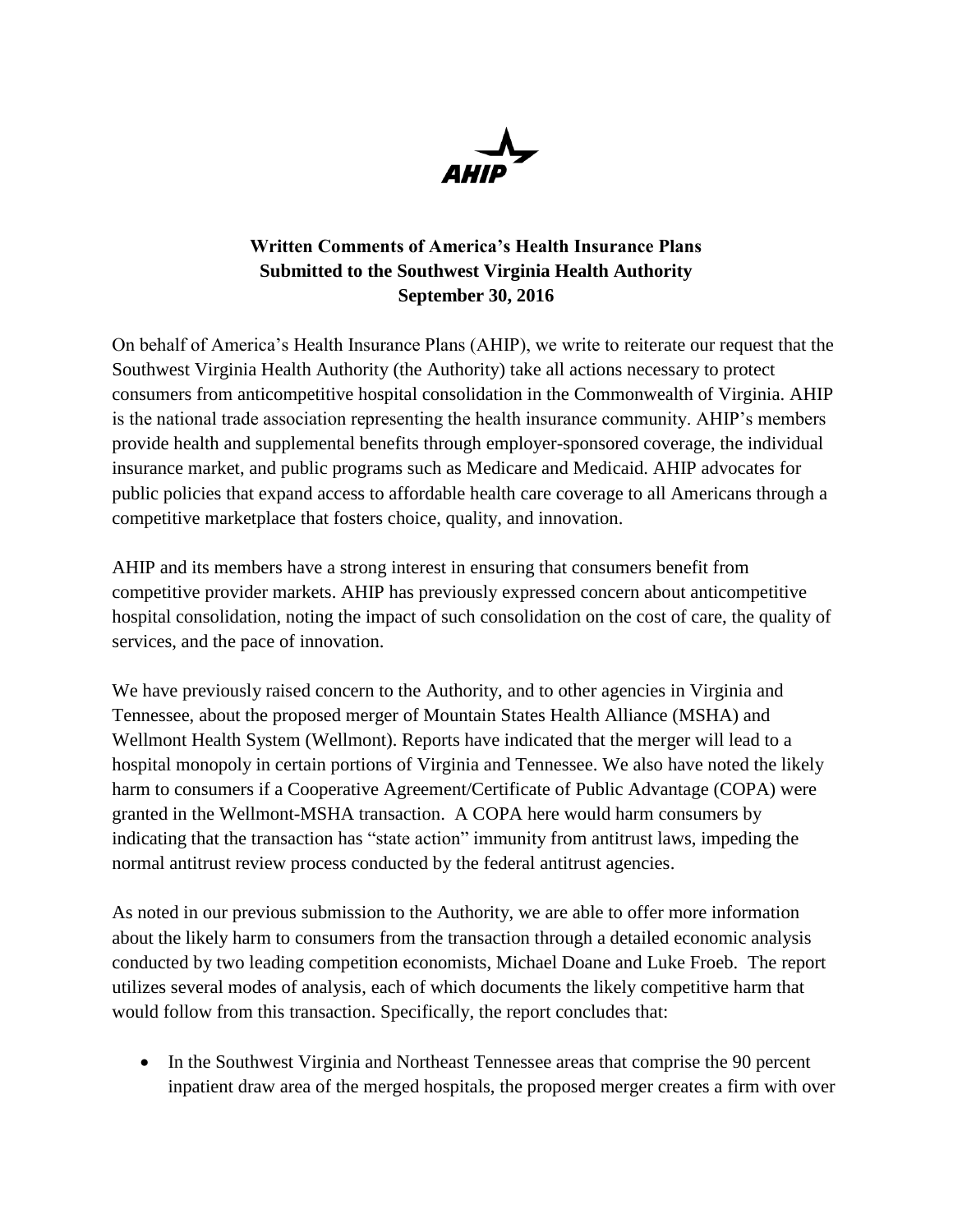

## **Written Comments of America's Health Insurance Plans Submitted to the Southwest Virginia Health Authority September 30, 2016**

On behalf of America's Health Insurance Plans (AHIP), we write to reiterate our request that the Southwest Virginia Health Authority (the Authority) take all actions necessary to protect consumers from anticompetitive hospital consolidation in the Commonwealth of Virginia. AHIP is the national trade association representing the health insurance community. AHIP's members provide health and supplemental benefits through employer-sponsored coverage, the individual insurance market, and public programs such as Medicare and Medicaid. AHIP advocates for public policies that expand access to affordable health care coverage to all Americans through a competitive marketplace that fosters choice, quality, and innovation.

AHIP and its members have a strong interest in ensuring that consumers benefit from competitive provider markets. AHIP has previously expressed concern about anticompetitive hospital consolidation, noting the impact of such consolidation on the cost of care, the quality of services, and the pace of innovation.

We have previously raised concern to the Authority, and to other agencies in Virginia and Tennessee, about the proposed merger of Mountain States Health Alliance (MSHA) and Wellmont Health System (Wellmont). Reports have indicated that the merger will lead to a hospital monopoly in certain portions of Virginia and Tennessee. We also have noted the likely harm to consumers if a Cooperative Agreement/Certificate of Public Advantage (COPA) were granted in the Wellmont-MSHA transaction. A COPA here would harm consumers by indicating that the transaction has "state action" immunity from antitrust laws, impeding the normal antitrust review process conducted by the federal antitrust agencies.

As noted in our previous submission to the Authority, we are able to offer more information about the likely harm to consumers from the transaction through a detailed economic analysis conducted by two leading competition economists, Michael Doane and Luke Froeb. The report utilizes several modes of analysis, each of which documents the likely competitive harm that would follow from this transaction. Specifically, the report concludes that:

• In the Southwest Virginia and Northeast Tennessee areas that comprise the 90 percent inpatient draw area of the merged hospitals, the proposed merger creates a firm with over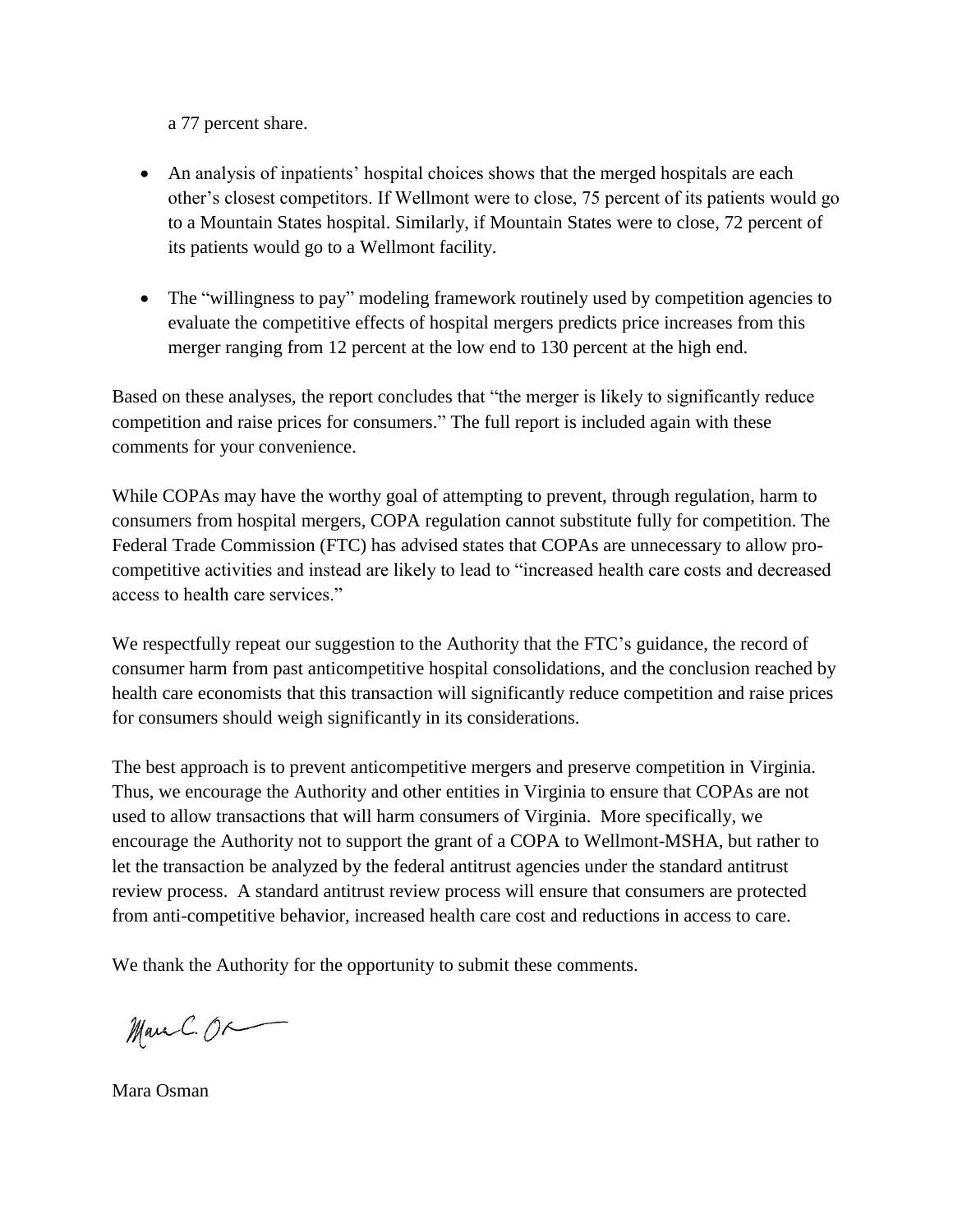a 77 percent share.

- An analysis of inpatients' hospital choices shows that the merged hospitals are each other's closest competitors. If Wellmont were to close, 75 percent of its patients would go to a Mountain States hospital. Similarly, if Mountain States were to close, 72 percent of its patients would go to a Wellmont facility.
- The "willingness to pay" modeling framework routinely used by competition agencies to evaluate the competitive effects of hospital mergers predicts price increases from this merger ranging from 12 percent at the low end to 130 percent at the high end.

Based on these analyses, the report concludes that "the merger is likely to significantly reduce competition and raise prices for consumers." The full report is included again with these comments for your convenience.

While COPAs may have the worthy goal of attempting to prevent, through regulation, harm to consumers from hospital mergers, COPA regulation cannot substitute fully for competition. The Federal Trade Commission (FTC) has advised states that COPAs are unnecessary to allow procompetitive activities and instead are likely to lead to "increased health care costs and decreased access to health care services."

We respectfully repeat our suggestion to the Authority that the FTC's guidance, the record of consumer harm from past anticompetitive hospital consolidations, and the conclusion reached by health care economists that this transaction will significantly reduce competition and raise prices for consumers should weigh significantly in its considerations.

The best approach is to prevent anticompetitive mergers and preserve competition in Virginia. Thus, we encourage the Authority and other entities in Virginia to ensure that COPAs are not used to allow transactions that will harm consumers of Virginia. More specifically, we encourage the Authority not to support the grant of a COPA to Wellmont-MSHA, but rather to let the transaction be analyzed by the federal antitrust agencies under the standard antitrust review process. A standard antitrust review process will ensure that consumers are protected from anti-competitive behavior, increased health care cost and reductions in access to care.

We thank the Authority for the opportunity to submit these comments.

Marc C. OR

Mara Osman